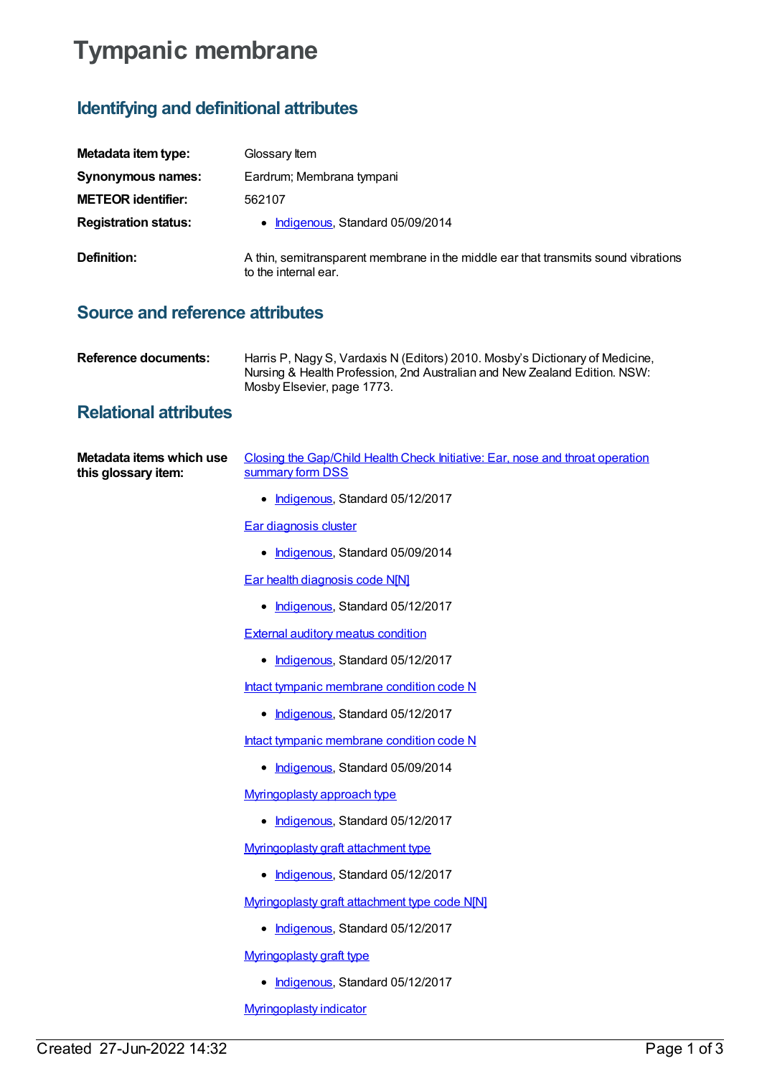# **Tympanic membrane**

## **Identifying and definitional attributes**

| Metadata item type:         | Glossary Item                                                                                              |
|-----------------------------|------------------------------------------------------------------------------------------------------------|
| Synonymous names:           | Eardrum; Membrana tympani                                                                                  |
| <b>METEOR identifier:</b>   | 562107                                                                                                     |
| <b>Registration status:</b> | • Indigenous, Standard 05/09/2014                                                                          |
| Definition:                 | A thin, semitransparent membrane in the middle ear that transmits sound vibrations<br>to the internal ear. |

### **Source and reference attributes**

| Reference documents: | Harris P, Nagy S, Vardaxis N (Editors) 2010. Mosby's Dictionary of Medicine, |
|----------------------|------------------------------------------------------------------------------|
|                      | Nursing & Health Profession, 2nd Australian and New Zealand Edition. NSW:    |
|                      | Mosby Elsevier, page 1773.                                                   |

#### **Relational attributes**

| Metadata items which use | Closing the Gap/Child Health Check Initiative: Ear, nose and throat operation |
|--------------------------|-------------------------------------------------------------------------------|
| this glossary item:      | summary form DSS                                                              |

• [Indigenous](https://meteor.aihw.gov.au/RegistrationAuthority/6), Standard 05/12/2017

Ear [diagnosis](https://meteor.aihw.gov.au/content/534097) cluster

• [Indigenous](https://meteor.aihw.gov.au/RegistrationAuthority/6), Standard 05/09/2014

Ear health [diagnosis](https://meteor.aihw.gov.au/content/567897) code N[N]

• [Indigenous](https://meteor.aihw.gov.au/RegistrationAuthority/6), Standard 05/12/2017

External auditory meatus [condition](https://meteor.aihw.gov.au/content/567723)

• [Indigenous](https://meteor.aihw.gov.au/RegistrationAuthority/6), Standard 05/12/2017

Intact tympanic [membrane](https://meteor.aihw.gov.au/content/507830) condition code N

- [Indigenous](https://meteor.aihw.gov.au/RegistrationAuthority/6), Standard 05/12/2017
- Intact tympanic [membrane](https://meteor.aihw.gov.au/content/505122) condition code N
	- [Indigenous](https://meteor.aihw.gov.au/RegistrationAuthority/6), Standard 05/09/2014

[Myringoplasty](https://meteor.aihw.gov.au/content/568219) approach type

• [Indigenous](https://meteor.aihw.gov.au/RegistrationAuthority/6), Standard 05/12/2017

[Myringoplasty](https://meteor.aihw.gov.au/content/568335) graft attachment type

• [Indigenous](https://meteor.aihw.gov.au/RegistrationAuthority/6), Standard 05/12/2017

[Myringoplasty](https://meteor.aihw.gov.au/content/568321) graft attachment type code N[N]

• [Indigenous](https://meteor.aihw.gov.au/RegistrationAuthority/6), Standard 05/12/2017

[Myringoplasty](https://meteor.aihw.gov.au/content/568302) graft type

• [Indigenous](https://meteor.aihw.gov.au/RegistrationAuthority/6), Standard 05/12/2017

[Myringoplasty](https://meteor.aihw.gov.au/content/572705) indicator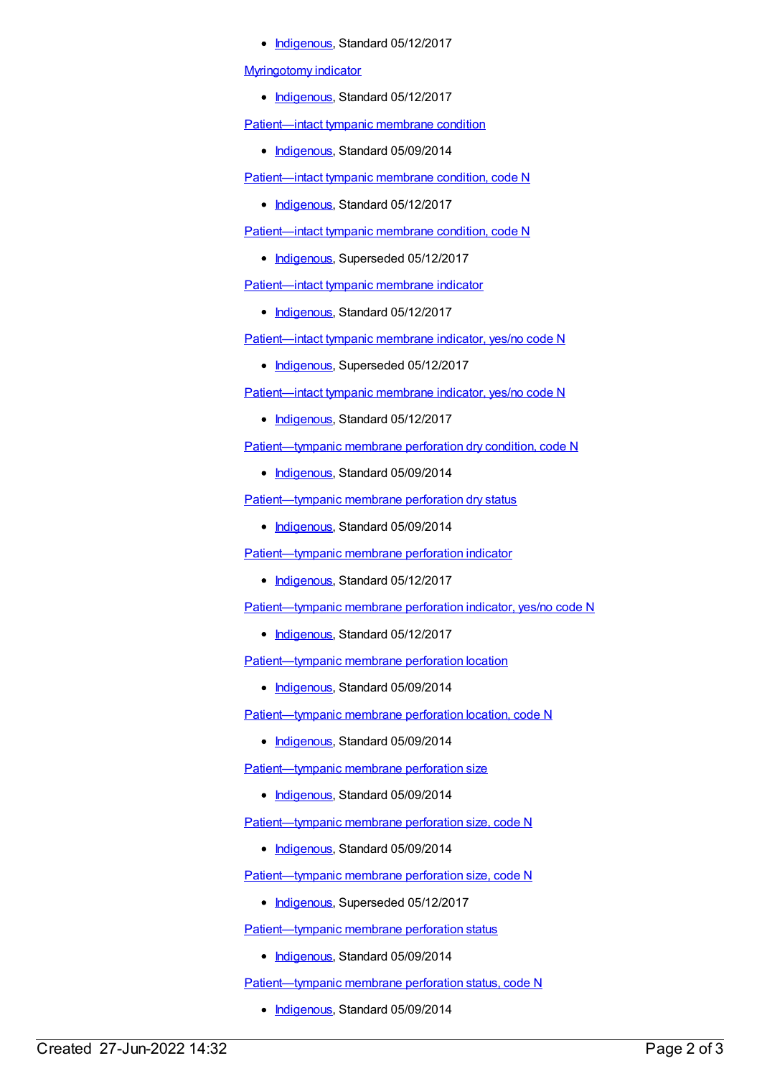• [Indigenous](https://meteor.aihw.gov.au/RegistrationAuthority/6), Standard 05/12/2017

#### [Myringotomy](https://meteor.aihw.gov.au/content/572718) indicator

• [Indigenous](https://meteor.aihw.gov.au/RegistrationAuthority/6), Standard 05/12/2017

[Patient—intact](https://meteor.aihw.gov.au/content/505129) tympanic membrane condition

• [Indigenous](https://meteor.aihw.gov.au/RegistrationAuthority/6), Standard 05/09/2014

[Patient—intact](https://meteor.aihw.gov.au/content/507838) tympanic membrane condition, code N

• [Indigenous](https://meteor.aihw.gov.au/RegistrationAuthority/6), Standard 05/12/2017

[Patient—intact](https://meteor.aihw.gov.au/content/505133) tympanic membrane condition, code N

• [Indigenous](https://meteor.aihw.gov.au/RegistrationAuthority/6), Superseded 05/12/2017

[Patient—intact](https://meteor.aihw.gov.au/content/682254) tympanic membrane indicator

• [Indigenous](https://meteor.aihw.gov.au/RegistrationAuthority/6), Standard 05/12/2017

[Patient—intact](https://meteor.aihw.gov.au/content/505104) tympanic membrane indicator, yes/no code N

• [Indigenous](https://meteor.aihw.gov.au/RegistrationAuthority/6), Superseded 05/12/2017

[Patient—intact](https://meteor.aihw.gov.au/content/682256) tympanic membrane indicator, yes/no code N

• [Indigenous](https://meteor.aihw.gov.au/RegistrationAuthority/6), Standard 05/12/2017

[Patient—tympanic](https://meteor.aihw.gov.au/content/534467) membrane perforation dry condition, code N

• [Indigenous](https://meteor.aihw.gov.au/RegistrationAuthority/6), Standard 05/09/2014

[Patient—tympanic](https://meteor.aihw.gov.au/content/537205) membrane perforation dry status

• [Indigenous](https://meteor.aihw.gov.au/RegistrationAuthority/6), Standard 05/09/2014

[Patient—tympanic](https://meteor.aihw.gov.au/content/507591) membrane perforation indicator

• [Indigenous](https://meteor.aihw.gov.au/RegistrationAuthority/6), Standard 05/12/2017

[Patient—tympanic](https://meteor.aihw.gov.au/content/507593) membrane perforation indicator, yes/no code N

• [Indigenous](https://meteor.aihw.gov.au/RegistrationAuthority/6), Standard 05/12/2017

[Patient—tympanic](https://meteor.aihw.gov.au/content/505078) membrane perforation location

• [Indigenous](https://meteor.aihw.gov.au/RegistrationAuthority/6), Standard 05/09/2014

[Patient—tympanic](https://meteor.aihw.gov.au/content/505084) membrane perforation location, code N

• [Indigenous](https://meteor.aihw.gov.au/RegistrationAuthority/6), Standard 05/09/2014

[Patient—tympanic](https://meteor.aihw.gov.au/content/498155) membrane perforation size

• [Indigenous](https://meteor.aihw.gov.au/RegistrationAuthority/6), Standard 05/09/2014

[Patient—tympanic](https://meteor.aihw.gov.au/content/498159) membrane perforation size, code N

• [Indigenous](https://meteor.aihw.gov.au/RegistrationAuthority/6), Standard 05/09/2014

[Patient—tympanic](https://meteor.aihw.gov.au/content/567834) membrane perforation size, code N

• [Indigenous](https://meteor.aihw.gov.au/RegistrationAuthority/6), Superseded 05/12/2017

[Patient—tympanic](https://meteor.aihw.gov.au/content/498143) membrane perforation status

• [Indigenous](https://meteor.aihw.gov.au/RegistrationAuthority/6), Standard 05/09/2014

[Patient—tympanic](https://meteor.aihw.gov.au/content/498146) membrane perforation status, code N

• [Indigenous](https://meteor.aihw.gov.au/RegistrationAuthority/6), Standard 05/09/2014